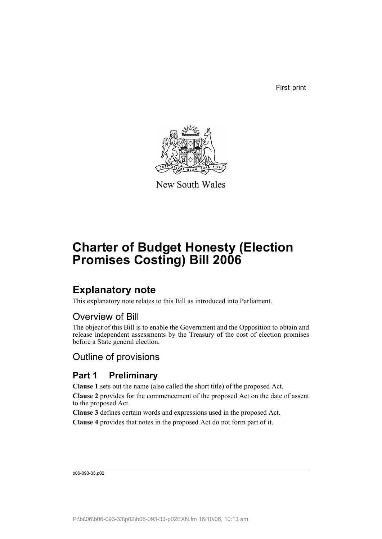First print



New South Wales

# **Charter of Budget Honesty (Election Promises Costing) Bill 2006**

# **Explanatory note**

This explanatory note relates to this Bill as introduced into Parliament.

## Overview of Bill

The object of this Bill is to enable the Government and the Opposition to obtain and release independent assessments by the Treasury of the cost of election promises before a State general election.

## Outline of provisions

## **Part 1 Preliminary**

**Clause 1** sets out the name (also called the short title) of the proposed Act.

**Clause 2** provides for the commencement of the proposed Act on the date of assent to the proposed Act.

**Clause 3** defines certain words and expressions used in the proposed Act.

**Clause 4** provides that notes in the proposed Act do not form part of it.

b06-093-33.p02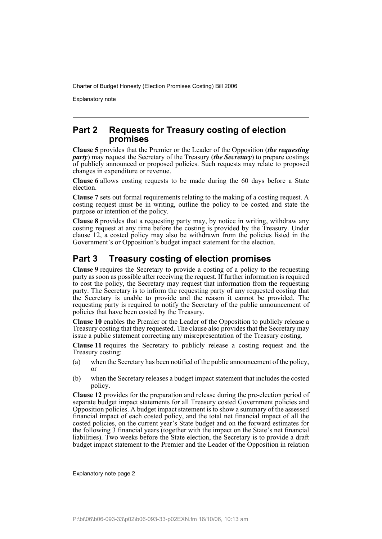Explanatory note

### **Part 2 Requests for Treasury costing of election promises**

**Clause 5** provides that the Premier or the Leader of the Opposition (*the requesting party*) may request the Secretary of the Treasury (*the Secretary*) to prepare costings of publicly announced or proposed policies. Such requests may relate to proposed changes in expenditure or revenue.

**Clause 6** allows costing requests to be made during the 60 days before a State election.

**Clause 7** sets out formal requirements relating to the making of a costing request. A costing request must be in writing, outline the policy to be costed and state the purpose or intention of the policy.

**Clause 8** provides that a requesting party may, by notice in writing, withdraw any costing request at any time before the costing is provided by the Treasury. Under clause 12, a costed policy may also be withdrawn from the policies listed in the Government's or Opposition's budget impact statement for the election.

## **Part 3 Treasury costing of election promises**

**Clause 9** requires the Secretary to provide a costing of a policy to the requesting party as soon as possible after receiving the request. If further information is required to cost the policy, the Secretary may request that information from the requesting party. The Secretary is to inform the requesting party of any requested costing that the Secretary is unable to provide and the reason it cannot be provided. The requesting party is required to notify the Secretary of the public announcement of policies that have been costed by the Treasury.

**Clause 10** enables the Premier or the Leader of the Opposition to publicly release a Treasury costing that they requested. The clause also provides that the Secretary may issue a public statement correcting any misrepresentation of the Treasury costing.

**Clause 11** requires the Secretary to publicly release a costing request and the Treasury costing:

- (a) when the Secretary has been notified of the public announcement of the policy, or
- (b) when the Secretary releases a budget impact statement that includes the costed policy.

**Clause 12** provides for the preparation and release during the pre-election period of separate budget impact statements for all Treasury costed Government policies and Opposition policies. A budget impact statement is to show a summary of the assessed financial impact of each costed policy, and the total net financial impact of all the costed policies, on the current year's State budget and on the forward estimates for the following 3 financial years (together with the impact on the State's net financial liabilities). Two weeks before the State election, the Secretary is to provide a draft budget impact statement to the Premier and the Leader of the Opposition in relation

Explanatory note page 2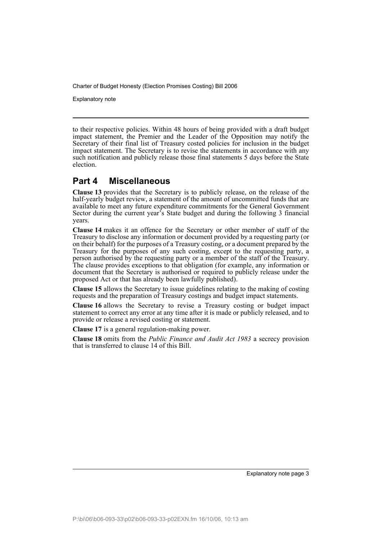Explanatory note

to their respective policies. Within 48 hours of being provided with a draft budget impact statement, the Premier and the Leader of the Opposition may notify the Secretary of their final list of Treasury costed policies for inclusion in the budget impact statement. The Secretary is to revise the statements in accordance with any such notification and publicly release those final statements 5 days before the State election.

## **Part 4 Miscellaneous**

**Clause 13** provides that the Secretary is to publicly release, on the release of the half-yearly budget review, a statement of the amount of uncommitted funds that are available to meet any future expenditure commitments for the General Government Sector during the current year's State budget and during the following 3 financial years.

**Clause 14** makes it an offence for the Secretary or other member of staff of the Treasury to disclose any information or document provided by a requesting party (or on their behalf) for the purposes of a Treasury costing, or a document prepared by the Treasury for the purposes of any such costing, except to the requesting party, a person authorised by the requesting party or a member of the staff of the Treasury. The clause provides exceptions to that obligation (for example, any information or document that the Secretary is authorised or required to publicly release under the proposed Act or that has already been lawfully published).

**Clause 15** allows the Secretary to issue guidelines relating to the making of costing requests and the preparation of Treasury costings and budget impact statements.

**Clause 16** allows the Secretary to revise a Treasury costing or budget impact statement to correct any error at any time after it is made or publicly released, and to provide or release a revised costing or statement.

**Clause 17** is a general regulation-making power.

**Clause 18** omits from the *Public Finance and Audit Act 1983* a secrecy provision that is transferred to clause 14 of this Bill.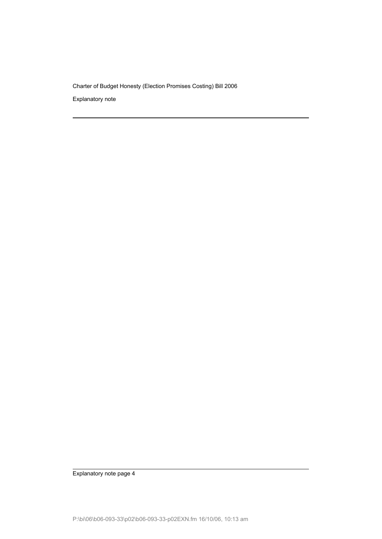Explanatory note

Explanatory note page 4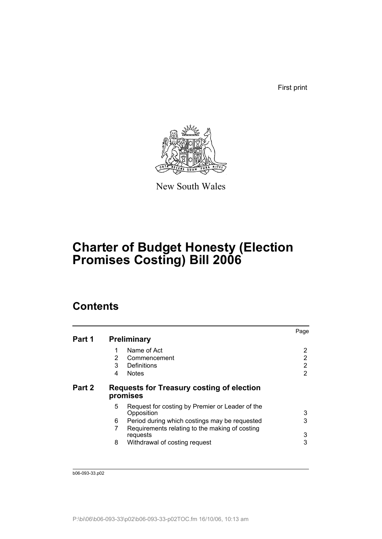First print



New South Wales

# **Charter of Budget Honesty (Election Promises Costing) Bill 2006**

# **Contents**

|        |                                                                    | Page |
|--------|--------------------------------------------------------------------|------|
| Part 1 | <b>Preliminary</b>                                                 |      |
|        | Name of Act                                                        | 2    |
|        | 2<br>Commencement                                                  | 2    |
|        | 3<br>Definitions                                                   | 2    |
|        | 4<br><b>Notes</b>                                                  | 2    |
| Part 2 | Requests for Treasury costing of election<br>promises              |      |
|        | Request for costing by Premier or Leader of the<br>5<br>Opposition | 3    |
|        | 6<br>Period during which costings may be requested                 | 3    |
|        | 7<br>Requirements relating to the making of costing                |      |
|        | requests                                                           | 3    |
|        | 8<br>Withdrawal of costing request                                 | 3    |
|        |                                                                    |      |

b06-093-33.p02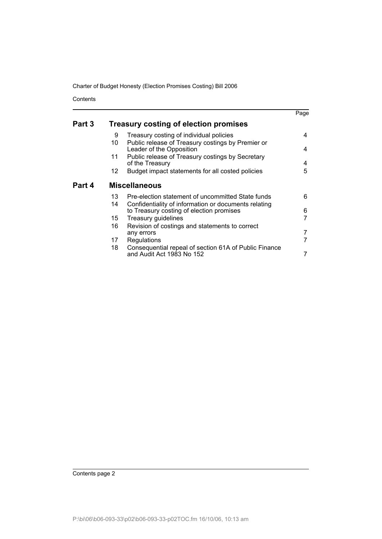Contents

|        |     |                                                                                                  | Page |
|--------|-----|--------------------------------------------------------------------------------------------------|------|
| Part 3 |     | <b>Treasury costing of election promises</b>                                                     |      |
|        | 9   | Treasury costing of individual policies                                                          | 4    |
|        | 10  | Public release of Treasury costings by Premier or<br>Leader of the Opposition                    | 4    |
|        | 11  | Public release of Treasury costings by Secretary<br>of the Treasury                              | 4    |
|        | 12. | Budget impact statements for all costed policies                                                 | 5    |
| Part 4 |     | <b>Miscellaneous</b>                                                                             |      |
|        | 13  | Pre-election statement of uncommitted State funds                                                | 6    |
|        | 14  | Confidentiality of information or documents relating<br>to Treasury costing of election promises | 6    |
|        | 15  | Treasury guidelines                                                                              |      |
|        | 16  | Revision of costings and statements to correct                                                   |      |
|        |     | any errors                                                                                       |      |
|        | 17  | Regulations                                                                                      |      |
|        | 18  | Consequential repeal of section 61A of Public Finance<br>and Audit Act 1983 No 152               |      |

Contents page 2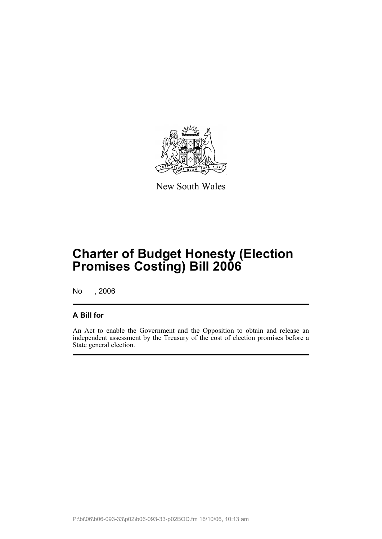

New South Wales

# **Charter of Budget Honesty (Election Promises Costing) Bill 2006**

No , 2006

## **A Bill for**

An Act to enable the Government and the Opposition to obtain and release an independent assessment by the Treasury of the cost of election promises before a State general election.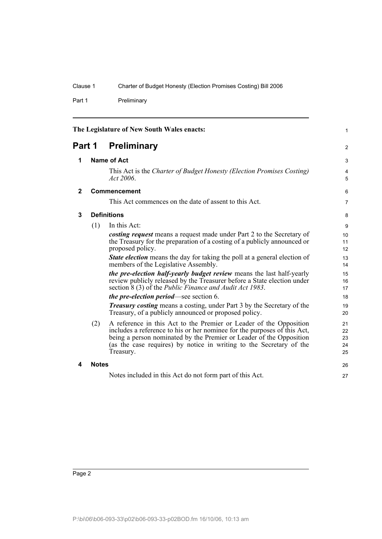Part 1 Preliminary

|              |                    | The Legislature of New South Wales enacts:                                                                                                                                                                                                                                                                | $\mathbf{1}$               |
|--------------|--------------------|-----------------------------------------------------------------------------------------------------------------------------------------------------------------------------------------------------------------------------------------------------------------------------------------------------------|----------------------------|
| Part 1       |                    | <b>Preliminary</b>                                                                                                                                                                                                                                                                                        |                            |
| 1            |                    | <b>Name of Act</b>                                                                                                                                                                                                                                                                                        | 3                          |
|              |                    | This Act is the Charter of Budget Honesty (Election Promises Costing)<br>Act 2006.                                                                                                                                                                                                                        | 4<br>5                     |
| $\mathbf{2}$ |                    | <b>Commencement</b>                                                                                                                                                                                                                                                                                       | 6                          |
|              |                    | This Act commences on the date of assent to this Act.                                                                                                                                                                                                                                                     | $\overline{7}$             |
| 3            | <b>Definitions</b> |                                                                                                                                                                                                                                                                                                           | 8                          |
|              | (1)                | In this Act:                                                                                                                                                                                                                                                                                              | 9                          |
|              |                    | <i>costing request</i> means a request made under Part 2 to the Secretary of<br>the Treasury for the preparation of a costing of a publicly announced or<br>proposed policy.                                                                                                                              | 10<br>11<br>12             |
|              |                    | <b>State election</b> means the day for taking the poll at a general election of<br>members of the Legislative Assembly.                                                                                                                                                                                  | 13<br>14                   |
|              |                    | the pre-election half-yearly budget review means the last half-yearly<br>review publicly released by the Treasurer before a State election under<br>section 8 (3) of the <i>Public Finance and Audit Act 1983</i> .                                                                                       | 15<br>16<br>17             |
|              |                    | <i>the pre-election period</i> —see section 6.                                                                                                                                                                                                                                                            | 18                         |
|              |                    | <b>Treasury costing</b> means a costing, under Part 3 by the Secretary of the<br>Treasury, of a publicly announced or proposed policy.                                                                                                                                                                    | 19<br>20                   |
|              | (2)                | A reference in this Act to the Premier or Leader of the Opposition<br>includes a reference to his or her nominee for the purposes of this Act,<br>being a person nominated by the Premier or Leader of the Opposition<br>(as the case requires) by notice in writing to the Secretary of the<br>Treasury. | 21<br>22<br>23<br>24<br>25 |
| 4            | <b>Notes</b>       |                                                                                                                                                                                                                                                                                                           | 26                         |
|              |                    | Notes included in this Act do not form part of this Act.                                                                                                                                                                                                                                                  | 27                         |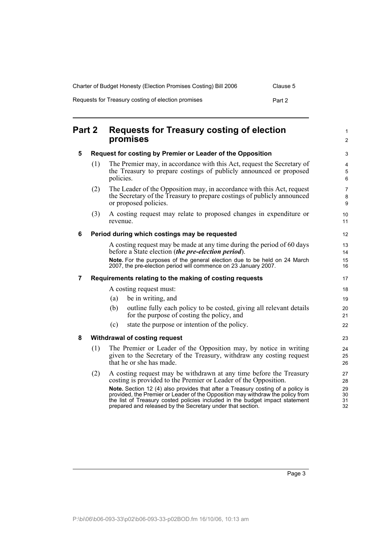| Charter of Budget Honesty (Election Promises Costing) Bill 2006 | Clause 5 |
|-----------------------------------------------------------------|----------|
| Requests for Treasury costing of election promises              | Part 2   |

## **Part 2 Requests for Treasury costing of election promises**

| 5 | Request for costing by Premier or Leader of the Opposition |                                                                                                                                                                       |                                                                                                                                                                                                                                                                                                                                                                                                                                                          | 3                                |
|---|------------------------------------------------------------|-----------------------------------------------------------------------------------------------------------------------------------------------------------------------|----------------------------------------------------------------------------------------------------------------------------------------------------------------------------------------------------------------------------------------------------------------------------------------------------------------------------------------------------------------------------------------------------------------------------------------------------------|----------------------------------|
|   | (1)                                                        | policies.                                                                                                                                                             | The Premier may, in accordance with this Act, request the Secretary of<br>the Treasury to prepare costings of publicly announced or proposed                                                                                                                                                                                                                                                                                                             | 4<br>5<br>6                      |
|   | (2)                                                        |                                                                                                                                                                       | The Leader of the Opposition may, in accordance with this Act, request<br>the Secretary of the Treasury to prepare costings of publicly announced<br>or proposed policies.                                                                                                                                                                                                                                                                               | $\overline{7}$<br>8<br>9         |
|   | (3)                                                        | revenue.                                                                                                                                                              | A costing request may relate to proposed changes in expenditure or                                                                                                                                                                                                                                                                                                                                                                                       | 10 <sup>1</sup><br>11            |
| 6 |                                                            |                                                                                                                                                                       | Period during which costings may be requested                                                                                                                                                                                                                                                                                                                                                                                                            | 12                               |
|   |                                                            |                                                                                                                                                                       | A costing request may be made at any time during the period of 60 days<br>before a State election (the pre-election period).<br>Note. For the purposes of the general election due to be held on 24 March<br>2007, the pre-election period will commence on 23 January 2007.                                                                                                                                                                             | 13<br>14<br>15<br>16             |
| 7 |                                                            |                                                                                                                                                                       | Requirements relating to the making of costing requests                                                                                                                                                                                                                                                                                                                                                                                                  | 17                               |
|   |                                                            |                                                                                                                                                                       | A costing request must:                                                                                                                                                                                                                                                                                                                                                                                                                                  | 18                               |
|   |                                                            | (a)                                                                                                                                                                   | be in writing, and                                                                                                                                                                                                                                                                                                                                                                                                                                       | 19                               |
|   |                                                            | (b)                                                                                                                                                                   | outline fully each policy to be costed, giving all relevant details<br>for the purpose of costing the policy, and                                                                                                                                                                                                                                                                                                                                        | 20<br>21                         |
|   |                                                            | (c)                                                                                                                                                                   | state the purpose or intention of the policy.                                                                                                                                                                                                                                                                                                                                                                                                            | 22                               |
| 8 |                                                            |                                                                                                                                                                       | Withdrawal of costing request                                                                                                                                                                                                                                                                                                                                                                                                                            | 23                               |
|   | (1)                                                        | The Premier or Leader of the Opposition may, by notice in writing<br>given to the Secretary of the Treasury, withdraw any costing request<br>that he or she has made. |                                                                                                                                                                                                                                                                                                                                                                                                                                                          | 24<br>25<br>26                   |
|   | (2)                                                        |                                                                                                                                                                       | A costing request may be withdrawn at any time before the Treasury<br>costing is provided to the Premier or Leader of the Opposition.<br>Note. Section 12 (4) also provides that after a Treasury costing of a policy is<br>provided, the Premier or Leader of the Opposition may withdraw the policy from<br>the list of Treasury costed policies included in the budget impact statement<br>prepared and released by the Secretary under that section. | 27<br>28<br>29<br>30<br>31<br>32 |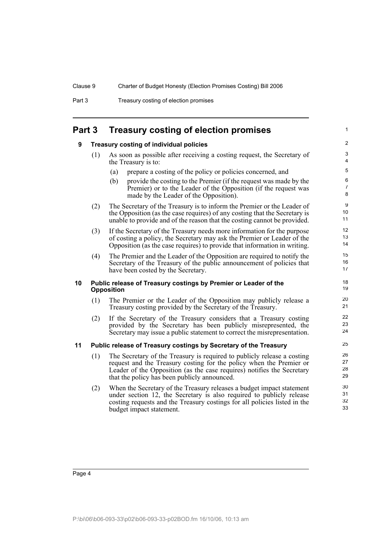Part 3 Treasury costing of election promises

## **Part 3 Treasury costing of election promises**

### **9 Treasury costing of individual policies**

- (1) As soon as possible after receiving a costing request, the Secretary of the Treasury is to:
	- (a) prepare a costing of the policy or policies concerned, and
	- (b) provide the costing to the Premier (if the request was made by the Premier) or to the Leader of the Opposition (if the request was made by the Leader of the Opposition).

1

- (2) The Secretary of the Treasury is to inform the Premier or the Leader of the Opposition (as the case requires) of any costing that the Secretary is unable to provide and of the reason that the costing cannot be provided.
- (3) If the Secretary of the Treasury needs more information for the purpose of costing a policy, the Secretary may ask the Premier or Leader of the Opposition (as the case requires) to provide that information in writing.
- (4) The Premier and the Leader of the Opposition are required to notify the Secretary of the Treasury of the public announcement of policies that have been costed by the Secretary.

#### **10 Public release of Treasury costings by Premier or Leader of the Opposition**

- (1) The Premier or the Leader of the Opposition may publicly release a Treasury costing provided by the Secretary of the Treasury.
- (2) If the Secretary of the Treasury considers that a Treasury costing provided by the Secretary has been publicly misrepresented, the Secretary may issue a public statement to correct the misrepresentation.

### **11 Public release of Treasury costings by Secretary of the Treasury**

- (1) The Secretary of the Treasury is required to publicly release a costing request and the Treasury costing for the policy when the Premier or Leader of the Opposition (as the case requires) notifies the Secretary that the policy has been publicly announced.
- (2) When the Secretary of the Treasury releases a budget impact statement under section 12, the Secretary is also required to publicly release costing requests and the Treasury costings for all policies listed in the budget impact statement.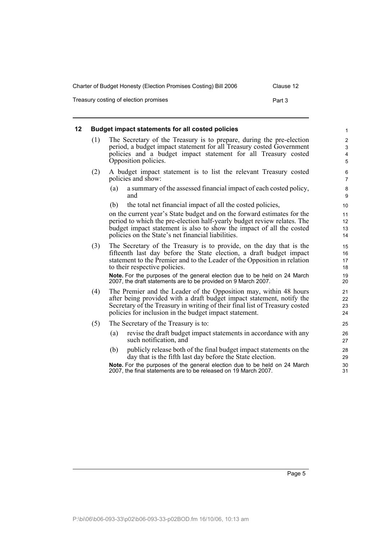| Charter of Budget Honesty (Election Promises Costing) Bill 2006 | Clause 12 |
|-----------------------------------------------------------------|-----------|
| Treasury costing of election promises                           | Part 3    |

#### **12 Budget impact statements for all costed policies**

- (1) The Secretary of the Treasury is to prepare, during the pre-election period, a budget impact statement for all Treasury costed Government policies and a budget impact statement for all Treasury costed Opposition policies.
- (2) A budget impact statement is to list the relevant Treasury costed policies and show:
	- (a) a summary of the assessed financial impact of each costed policy, and
	- (b) the total net financial impact of all the costed policies,

on the current year's State budget and on the forward estimates for the period to which the pre-election half-yearly budget review relates. The budget impact statement is also to show the impact of all the costed policies on the State's net financial liabilities.

- (3) The Secretary of the Treasury is to provide, on the day that is the fifteenth last day before the State election, a draft budget impact statement to the Premier and to the Leader of the Opposition in relation to their respective policies. **Note.** For the purposes of the general election due to be held on 24 March 2007, the draft statements are to be provided on 9 March 2007.
- (4) The Premier and the Leader of the Opposition may, within 48 hours after being provided with a draft budget impact statement, notify the Secretary of the Treasury in writing of their final list of Treasury costed policies for inclusion in the budget impact statement.
- (5) The Secretary of the Treasury is to:
	- (a) revise the draft budget impact statements in accordance with any such notification, and
	- (b) publicly release both of the final budget impact statements on the day that is the fifth last day before the State election.

**Note.** For the purposes of the general election due to be held on 24 March 2007, the final statements are to be released on 19 March 2007.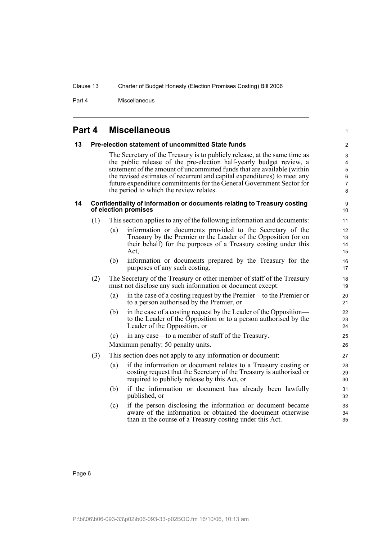Part 4 Miscellaneous

## **Part 4 Miscellaneous**

| 13 |                                                                                                  |     | <b>Pre-election statement of uncommitted State funds</b>                                                                                                                                                                                                                                                                                                                                                                   | 2                                                          |
|----|--------------------------------------------------------------------------------------------------|-----|----------------------------------------------------------------------------------------------------------------------------------------------------------------------------------------------------------------------------------------------------------------------------------------------------------------------------------------------------------------------------------------------------------------------------|------------------------------------------------------------|
|    |                                                                                                  |     | The Secretary of the Treasury is to publicly release, at the same time as<br>the public release of the pre-election half-yearly budget review, a<br>statement of the amount of uncommitted funds that are available (within<br>the revised estimates of recurrent and capital expenditures) to meet any<br>future expenditure commitments for the General Government Sector for<br>the period to which the review relates. | 3<br>4<br>$\overline{5}$<br>$\,6\,$<br>$\overline{7}$<br>8 |
| 14 | Confidentiality of information or documents relating to Treasury costing<br>of election promises |     |                                                                                                                                                                                                                                                                                                                                                                                                                            |                                                            |
|    | (1)                                                                                              |     | This section applies to any of the following information and documents:                                                                                                                                                                                                                                                                                                                                                    | 11                                                         |
|    |                                                                                                  | (a) | information or documents provided to the Secretary of the<br>Treasury by the Premier or the Leader of the Opposition (or on<br>their behalf) for the purposes of a Treasury costing under this<br>Act,                                                                                                                                                                                                                     | 12<br>13<br>14<br>15                                       |
|    |                                                                                                  | (b) | information or documents prepared by the Treasury for the<br>purposes of any such costing.                                                                                                                                                                                                                                                                                                                                 | 16<br>17                                                   |
|    | (2)                                                                                              |     | The Secretary of the Treasury or other member of staff of the Treasury<br>must not disclose any such information or document except:                                                                                                                                                                                                                                                                                       | 18<br>19                                                   |
|    |                                                                                                  | (a) | in the case of a costing request by the Premier—to the Premier or<br>to a person authorised by the Premier, or                                                                                                                                                                                                                                                                                                             | 20<br>21                                                   |
|    |                                                                                                  | (b) | in the case of a costing request by the Leader of the Opposition—<br>to the Leader of the Opposition or to a person authorised by the<br>Leader of the Opposition, or                                                                                                                                                                                                                                                      | 22<br>23<br>24                                             |
|    |                                                                                                  | (c) | in any case—to a member of staff of the Treasury.                                                                                                                                                                                                                                                                                                                                                                          | 25                                                         |
|    |                                                                                                  |     | Maximum penalty: 50 penalty units.                                                                                                                                                                                                                                                                                                                                                                                         | 26                                                         |
|    | (3)                                                                                              |     | This section does not apply to any information or document:                                                                                                                                                                                                                                                                                                                                                                | 27                                                         |
|    |                                                                                                  | (a) | if the information or document relates to a Treasury costing or<br>costing request that the Secretary of the Treasury is authorised or<br>required to publicly release by this Act, or                                                                                                                                                                                                                                     | 28<br>29<br>30                                             |
|    |                                                                                                  | (b) | if the information or document has already been lawfully<br>published, or                                                                                                                                                                                                                                                                                                                                                  | 31<br>32                                                   |
|    |                                                                                                  | (c) | if the person disclosing the information or document became<br>aware of the information or obtained the document otherwise<br>than in the course of a Treasury costing under this Act.                                                                                                                                                                                                                                     | 33<br>34<br>35                                             |